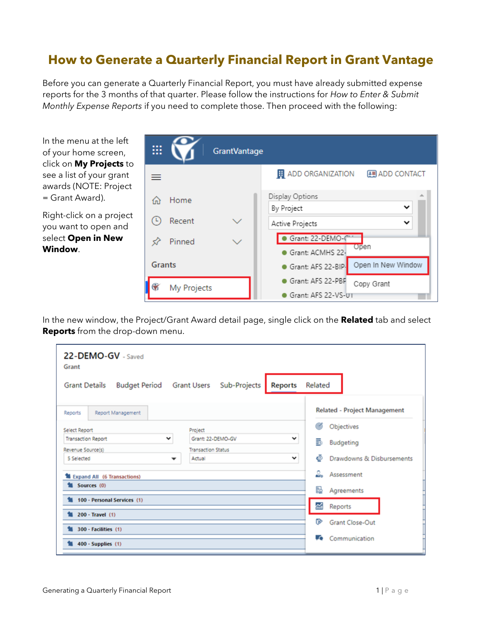## **How to Generate a Quarterly Financial Report in Grant Vantage**

Before you can generate a Quarterly Financial Report, you must have already submitted expense reports for the 3 months of that quarter. Please follow the instructions for *How to Enter & Submit Monthly Expense Reports* if you need to complete those. Then proceed with the following:

In the menu at the left of your home screen, click on **My Projects** to see a list of your grant awards (NOTE: Project = Grant Award).

Right-click on a project you want to open and select **Open in New Window**.

| <br>          |             | <b>GrantVantage</b> |                                                              |
|---------------|-------------|---------------------|--------------------------------------------------------------|
|               |             |                     | <b>H</b> ADD ORGANIZATION<br><b>图 ADD CONTACT</b>            |
|               | Home        |                     | Display Options<br>$\checkmark$                              |
|               | Recent      |                     | By Project<br>◡<br>Active Projects                           |
|               | Pinned      |                     | Grant: 22-DEMO-C<br>Open                                     |
| <b>Grants</b> |             |                     | Grant: ACMHS 22-<br>Open In New Window<br>Grant: AFS 22-BIP. |
|               | My Projects |                     | Grant: AFS 22-PBP<br>Copy Grant                              |
|               |             |                     | Grant: AFS 22-VS-01                                          |

In the new window, the Project/Grant Award detail page, single click on the **Related** tab and select **Reports** from the drop-down menu.

| 22-DEMO-GV - Saved<br>Grant  |                                                   |                                     |
|------------------------------|---------------------------------------------------|-------------------------------------|
| <b>Grant Details</b>         | Budget Period Grant Users Sub-Projects<br>Reports | Related                             |
| Report Management<br>Reports |                                                   | <b>Related - Project Management</b> |
| Select Report                | Project                                           | ത്<br>Objectives                    |
| <b>Transaction Report</b>    | Grant: 22-DEMO-GV<br>$\checkmark$<br>v            | 5<br>Budgeting                      |
| Revenue Source(s)            | <b>Transaction Status</b>                         |                                     |
| 5 Selected                   | $\checkmark$<br>Actual<br>▼                       | Ô<br>Drawdowns & Disbursements      |
| Expand All (6 Transactions)  |                                                   | ┻<br>Assessment                     |
| Sources (0)                  |                                                   | Ы<br>Agreements                     |
| 100 - Personal Services (1)  |                                                   | ≃<br>Reports                        |
| 200 - Travel (1)             |                                                   |                                     |
| \$8 300 - Facilities (1)     |                                                   | ☞<br><b>Grant Close-Out</b>         |
|                              |                                                   | Communication<br>LO.                |
| $400 -$ Supplies (1)         |                                                   |                                     |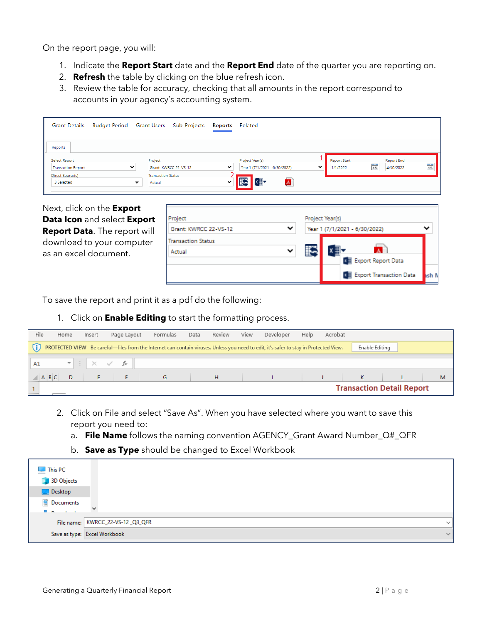On the report page, you will:

- 1. Indicate the **Report Start** date and the **Report End** date of the quarter you are reporting on.
- 2. **Refresh** the table by clicking on the blue refresh icon.
- 3. Review the table for accuracy, checking that all amounts in the report correspond to accounts in your agency's accounting system.

| <b>Grant Details</b>                       | Budget Period Grant Users Sub-Projects |                                     |                       | Reports      | Related                                                         |                                 |                                                  |                |
|--------------------------------------------|----------------------------------------|-------------------------------------|-----------------------|--------------|-----------------------------------------------------------------|---------------------------------|--------------------------------------------------|----------------|
| Reports                                    |                                        |                                     |                       |              |                                                                 |                                 |                                                  |                |
| Select Report<br><b>Transaction Report</b> | $\check{ }$                            | Project                             | Grant: KWRCC 22-VS-12 | $\checkmark$ | Project Year(s)<br>$\check{ }$<br>Year 1 (7/1/2021 - 6/30/2022) | <b>Report Start</b><br>1/1/2022 | <b>Report End</b><br>$\frac{1}{15}$<br>4/30/2022 | $\frac{1}{15}$ |
| Direct Source(s)<br>3 Selected             |                                        | <b>Transaction Status</b><br>Actual |                       | $\checkmark$ | × ∃<br>$\blacktriangle$                                         |                                 |                                                  |                |

Next, click on the **Export Data Icon** and select **Export Report Data**. The report will download to your computer as an excel document.

| Project                   |              | Project Year(s) |                                |       |
|---------------------------|--------------|-----------------|--------------------------------|-------|
| Grant: KWRCC 22-VS-12     | $\checkmark$ |                 | Year 1 (7/1/2021 - 6/30/2022)  |       |
| <b>Transaction Status</b> |              |                 |                                |       |
| Actual                    | ◡            |                 |                                |       |
|                           |              |                 | <b>DE Export Report Data</b>   |       |
|                           |              |                 | <b>Export Transaction Data</b> | ash I |

To save the report and print it as a pdf do the following:

1. Click on **Enable Editing** to start the formatting process.

| File        | Home | Insert | Page Layout                         | Formulas                                                                                                                              | Data | Review | View | Developer | Help | Acrobat |                |                                  |   |
|-------------|------|--------|-------------------------------------|---------------------------------------------------------------------------------------------------------------------------------------|------|--------|------|-----------|------|---------|----------------|----------------------------------|---|
| G)          |      |        |                                     | PROTECTED VIEW Be careful—files from the Internet can contain viruses. Unless you need to edit, it's safer to stay in Protected View. |      |        |      |           |      |         | Enable Editing |                                  |   |
| A1          |      |        | $\mathbf{v}$ : $\times$ $\check{f}$ |                                                                                                                                       |      |        |      |           |      |         |                |                                  |   |
| $A$ $B$ $C$ |      |        |                                     | G                                                                                                                                     |      | н      |      |           |      |         | К              |                                  | М |
|             |      |        |                                     |                                                                                                                                       |      |        |      |           |      |         |                | <b>Transaction Detail Report</b> |   |

- 2. Click on File and select "Save As". When you have selected where you want to save this report you need to:
	- a. **File Name** follows the naming convention AGENCY\_Grant Award Number\_Q#\_QFR
	- b. **Save as Type** should be changed to Excel Workbook

| $\Box$ This PC                                                                           |                                                   |  |
|------------------------------------------------------------------------------------------|---------------------------------------------------|--|
| 3D Objects                                                                               |                                                   |  |
| Desktop                                                                                  |                                                   |  |
| <b>E</b> Documents<br><b>The Contract of Street</b><br><b>Contract Contract Contract</b> | h.d.                                              |  |
|                                                                                          |                                                   |  |
|                                                                                          | File name: KWRCC_22-VS-12 _Q3_QFR<br>$\checkmark$ |  |
|                                                                                          | Save as type: Excel Workbook<br>$\vee$            |  |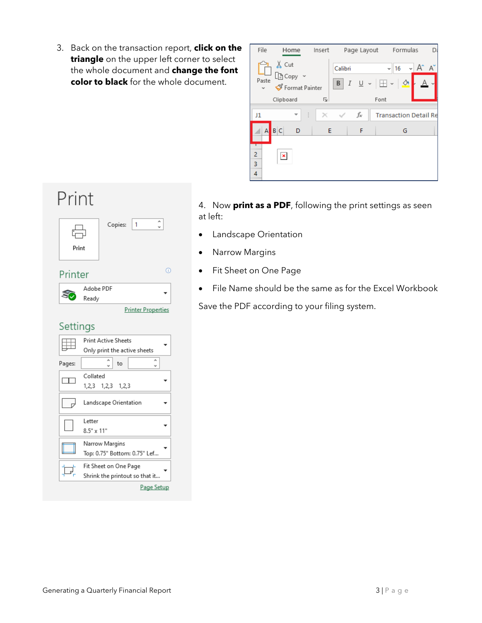3. Back on the transaction report, **click on the triangle** on the upper left corner to select the whole document and **change the font color to black** for the whole document.

| File        | Home                                 | Insert |                                      | Page Layout  |                     | Formulas                     |   |          |
|-------------|--------------------------------------|--------|--------------------------------------|--------------|---------------------|------------------------------|---|----------|
| Paste       | $X$ Cut<br>ြဲ Copy<br>Format Painter |        | Calibri<br>$I \perp$<br>$\mathsf{B}$ | $\checkmark$ | v<br>$\mathbb{H}$ - | 16                           | A | $\wedge$ |
|             | Clipboard                            | Ŀ      |                                      |              | Font                |                              |   |          |
| J1          |                                      | ÷      |                                      | fx           |                     | <b>Transaction Detail Re</b> |   |          |
| A           | B C<br>D                             | E      |                                      | F            |                     | G                            |   |          |
| 2<br>3<br>4 | $\pmb{\times}$                       |        |                                      |              |                     |                              |   |          |

## 4. Now **print as a PDF**, following the print settings as seen at left:

- Landscape Orientation
- Narrow Margins
- Fit Sheet on One Page
- File Name should be the same as for the Excel Workbook

Save the PDF according to your filing system.

| H<br>Print | $\mathbf{1}$<br>Copies:        |
|------------|--------------------------------|
| Printer    | Œ                              |
|            | Adobe PDF<br>Ready             |
|            | <b>Printer Properties</b>      |
| Settings   |                                |
|            | <b>Print Active Sheets</b>     |
|            | Only print the active sheets   |
| Pages:     | to                             |
|            | Collated                       |
|            | 1,2,3 1,2,3 1,2,3              |
|            | Landscape Orientation          |
|            | Letter                         |
|            | $8.5" \times 11"$              |
|            | Narrow Margins                 |
|            | Top: 0.75" Bottom: 0.75" Lef   |
|            | Fit Sheet on One Page          |
|            | Shrink the printout so that it |
|            | Page Setup                     |

Print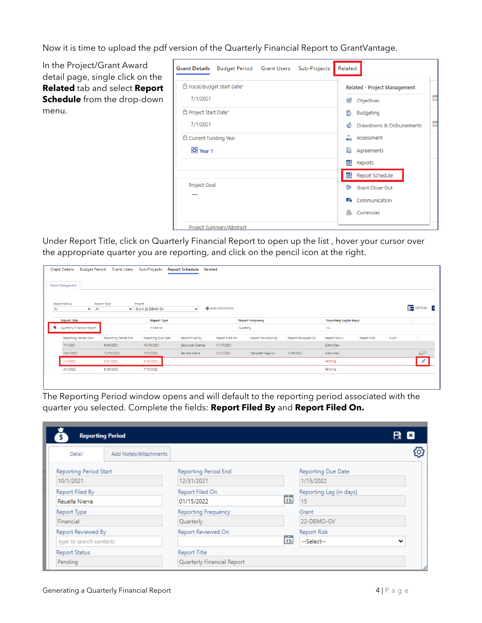Now it is time to upload the pdf version of the Quarterly Financial Report to GrantVantage.

In the Project/Grant Award detail page, single click on the **Related** tab and select **Report Schedule** from the drop-down menu.

| <b>Grant Details</b>        | Budget Period Grant Users Sub-Projects | Related                        |
|-----------------------------|----------------------------------------|--------------------------------|
| △ Fiscal/Budget Start Date* |                                        | Related - Project Management   |
| 7/1/2021                    |                                        | Objectives<br>෯                |
| A Project Start Date*       |                                        | 5<br><b>Budgeting</b>          |
| 7/1/2021                    |                                        | 酾<br>Drawdowns & Disbursements |
| △ Current Funding Year      |                                        | Assessment                     |
| 图 Year 1                    |                                        | 敯<br>Agreements                |
|                             |                                        | Reports<br>≪î                  |
|                             |                                        | Report Schedule<br>⋒           |
| Project Goal                |                                        | Grant Close-Out<br>r≫          |
|                             |                                        | Communication<br>u.            |
|                             |                                        | Currencies                     |
| Project Summary/Abstract    |                                        |                                |

Under Report Title, click on Quarterly Financial Report to open up the list , hover your cursor over the appropriate quarter you are reporting, and click on the pencil icon at the right.

| <b>Report Management</b>                    |                                    | Grant Users Sub-Projects     |                 |                 |                         |                    |                        |                    |       |                      |
|---------------------------------------------|------------------------------------|------------------------------|-----------------|-----------------|-------------------------|--------------------|------------------------|--------------------|-------|----------------------|
|                                             |                                    |                              |                 |                 |                         |                    |                        |                    |       |                      |
| <b>Report Status</b><br>All<br>$\checkmark$ | Report Type<br>All<br>$\checkmark$ | Project<br>Grant: 22-DEMO-GV | $\checkmark$    | ADD REPORTING   |                         |                    |                        |                    |       | REFRESH <sub>x</sub> |
| <b>Report Title</b>                         |                                    | <b>Report Type</b>           |                 |                 | <b>Report Frequency</b> |                    | Reporting Lag(in days) |                    |       |                      |
| <b>W</b> Quarterly Financial Report         |                                    | Financial                    |                 |                 | Quarterly               |                    | 15                     |                    |       |                      |
| <b>Reporting Period Start</b>               | Reporting Period End               | Reporting Due Date           | Report Filed By | Report Filed On | Report Reviewed By      | Report Reviewed On | <b>Report Status</b>   | <b>Report Risk</b> | Audit |                      |
| 7/1/2021                                    | 9/30/2021                          | 10/15/2021                   | Sequoyah Stamps | 11/17/2021      |                         |                    | Submitted              |                    |       |                      |
| 10/1/2021                                   | 12/31/2021                         | 1/15/2022                    | Reuella Nierra  | 1/15/2022       | Marybeth Gagnon         | 1/19/2022          | Submitted              |                    |       | $\mathcal{L}(1)$     |
| 1/1/2022                                    | 3/31/2022                          | 4/15/2022                    |                 |                 |                         |                    | Pending                |                    |       |                      |
| 4/1/2022                                    | 6/30/2022                          | 7/15/2022                    |                 |                 |                         |                    | Pending                |                    |       |                      |

The Reporting Period window opens and will default to the reporting period associated with the quarter you selected. Complete the fields: **Report Filed By** and **Report Filed On.**

|                               | <b>Reporting Period</b> |                             |                |                         | <b>B 2</b>  |
|-------------------------------|-------------------------|-----------------------------|----------------|-------------------------|-------------|
| Detail                        | Add Notes/Attachments   |                             |                |                         |             |
| <b>Reporting Period Start</b> |                         | <b>Reporting Period End</b> |                | Reporting Due Date      |             |
| 10/1/2021                     |                         | 12/31/2021                  |                | 1/15/2022               |             |
| Report Filed By               |                         | Report Filed On             |                | Reporting Lag (in days) |             |
| Reuella Nierra                |                         | 01/15/2022                  | 15             | 15                      |             |
| Report Type                   |                         | Reporting Frequency         |                | Grant                   |             |
| Financial                     |                         | Quarterly                   |                | 22-DEMO-GV              |             |
| Report Reviewed By            |                         | Report Reviewed On          |                | <b>Report Risk</b>      |             |
| type to search contacts       |                         |                             | $\frac{1}{15}$ | --Select--              | $\check{ }$ |
| <b>Report Status</b>          |                         | <b>Report Title</b>         |                |                         |             |
| Pending                       |                         | Quarterly Financial Report  |                |                         |             |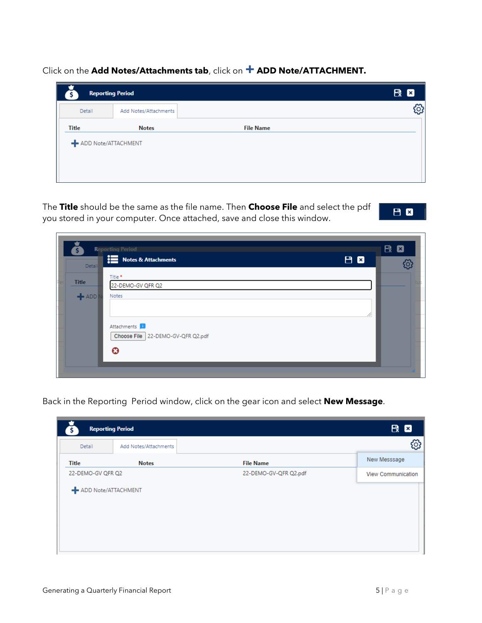Click on the **Add Notes/Attachments tab**, click on **+ ADD Note/ATTACHMENT.** 

| <b>Reporting Period</b> |                       |                  | <b>B 2</b> |
|-------------------------|-----------------------|------------------|------------|
| Detail                  | Add Notes/Attachments |                  | සූ         |
| <b>Title</b>            | <b>Notes</b>          | <b>File Name</b> |            |

The **Title** should be the same as the file name. Then **Choose File** and select the pdf you stored in your computer. Once attached, save and close this window.



| Ă                       | <b>Reporting Period</b><br><b>EXEC</b> Notes & Attachments<br>Detail | 日日 | R Ø |
|-------------------------|----------------------------------------------------------------------|----|-----|
| <b>Title</b><br>$+$ ADD | Title *<br>22-DEMO-GV QFR Q2<br>Notes                                |    |     |
|                         | Attachments <sup>1</sup><br>Choose File 22-DEMO-GV-QFR Q2.pdf        | 4  |     |
|                         | $\bm{c}$                                                             |    |     |

Back in the Reporting Period window, click on the gear icon and select **New Message**.

| <b>Reporting Period</b> |                       |                       | <b>段 図</b>                |
|-------------------------|-----------------------|-----------------------|---------------------------|
| Detail                  | Add Notes/Attachments |                       | ŗÖ.                       |
| <b>Title</b>            | <b>Notes</b>          | <b>File Name</b>      | New Messsage              |
| 22-DEMO-GV QFR Q2       |                       | 22-DEMO-GV-QFR Q2.pdf | <b>View Communication</b> |
| - ADD Note/ATTACHMENT   |                       |                       |                           |
|                         |                       |                       |                           |
|                         |                       |                       |                           |
|                         |                       |                       |                           |
|                         |                       |                       |                           |

 $\overline{a}$